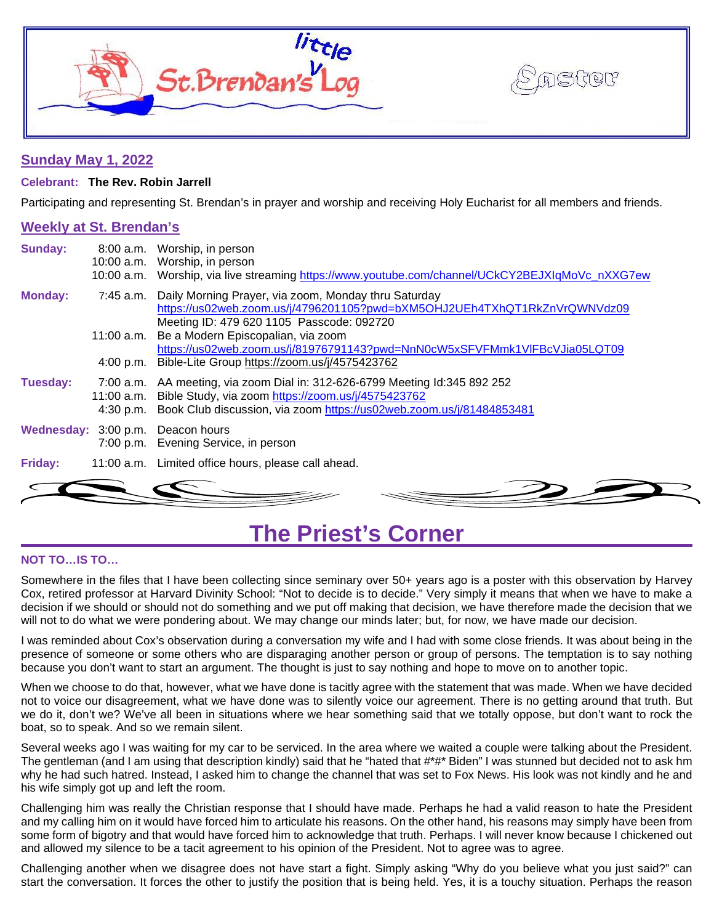



# **Sunday May 1, 2022**

### **Celebrant: The Rev. Robin Jarrell**

Participating and representing St. Brendan's in prayer and worship and receiving Holy Eucharist for all members and friends.

# **Weekly at St. Brendan's**

| <b>Sunday:</b> |                         | 8:00 a.m. Worship, in person<br>10:00 a.m. Worship, in person<br>10:00 a.m. Worship, via live streaming https://www.youtube.com/channel/UCkCY2BEJXIqMoVc_nXXG7ew                                          |
|----------------|-------------------------|-----------------------------------------------------------------------------------------------------------------------------------------------------------------------------------------------------------|
| <b>Monday:</b> | 7:45 a.m.               | Daily Morning Prayer, via zoom, Monday thru Saturday<br>https://us02web.zoom.us/j/4796201105?pwd=bXM5OHJ2UEh4TXhQT1RkZnVrQWNVdz09<br>Meeting ID: 479 620 1105 Passcode: 092720                            |
|                | 11:00 a.m.              | Be a Modern Episcopalian, via zoom                                                                                                                                                                        |
|                | 4:00 p.m.               | https://us02web.zoom.us/j/81976791143?pwd=NnN0cW5xSFVFMmk1VIFBcVJia05LQT09<br>Bible-Lite Group https://zoom.us/j/4575423762                                                                               |
| Tuesday:       | 11:00 a.m.<br>4:30 p.m. | 7:00 a.m. AA meeting, via zoom Dial in: 312-626-6799 Meeting Id:345 892 252<br>Bible Study, via zoom https://zoom.us/j/4575423762<br>Book Club discussion, via zoom https://us02web.zoom.us/j/81484853481 |
|                |                         | Wednesday: 3:00 p.m. Deacon hours<br>7:00 p.m. Evening Service, in person                                                                                                                                 |
| Friday:        |                         | 11:00 a.m. Limited office hours, please call ahead.                                                                                                                                                       |
|                |                         |                                                                                                                                                                                                           |

# **The Priest's Corner**

### **NOT TO…IS TO…**

Somewhere in the files that I have been collecting since seminary over 50+ years ago is a poster with this observation by Harvey Cox, retired professor at Harvard Divinity School: "Not to decide is to decide." Very simply it means that when we have to make a decision if we should or should not do something and we put off making that decision, we have therefore made the decision that we will not to do what we were pondering about. We may change our minds later; but, for now, we have made our decision.

I was reminded about Cox's observation during a conversation my wife and I had with some close friends. It was about being in the presence of someone or some others who are disparaging another person or group of persons. The temptation is to say nothing because you don't want to start an argument. The thought is just to say nothing and hope to move on to another topic.

When we choose to do that, however, what we have done is tacitly agree with the statement that was made. When we have decided not to voice our disagreement, what we have done was to silently voice our agreement. There is no getting around that truth. But we do it, don't we? We've all been in situations where we hear something said that we totally oppose, but don't want to rock the boat, so to speak. And so we remain silent.

Several weeks ago I was waiting for my car to be serviced. In the area where we waited a couple were talking about the President. The gentleman (and I am using that description kindly) said that he "hated that #\*#\* Biden" I was stunned but decided not to ask hm why he had such hatred. Instead, I asked him to change the channel that was set to Fox News. His look was not kindly and he and his wife simply got up and left the room.

Challenging him was really the Christian response that I should have made. Perhaps he had a valid reason to hate the President and my calling him on it would have forced him to articulate his reasons. On the other hand, his reasons may simply have been from some form of bigotry and that would have forced him to acknowledge that truth. Perhaps. I will never know because I chickened out and allowed my silence to be a tacit agreement to his opinion of the President. Not to agree was to agree.

Challenging another when we disagree does not have start a fight. Simply asking "Why do you believe what you just said?" can start the conversation. It forces the other to justify the position that is being held. Yes, it is a touchy situation. Perhaps the reason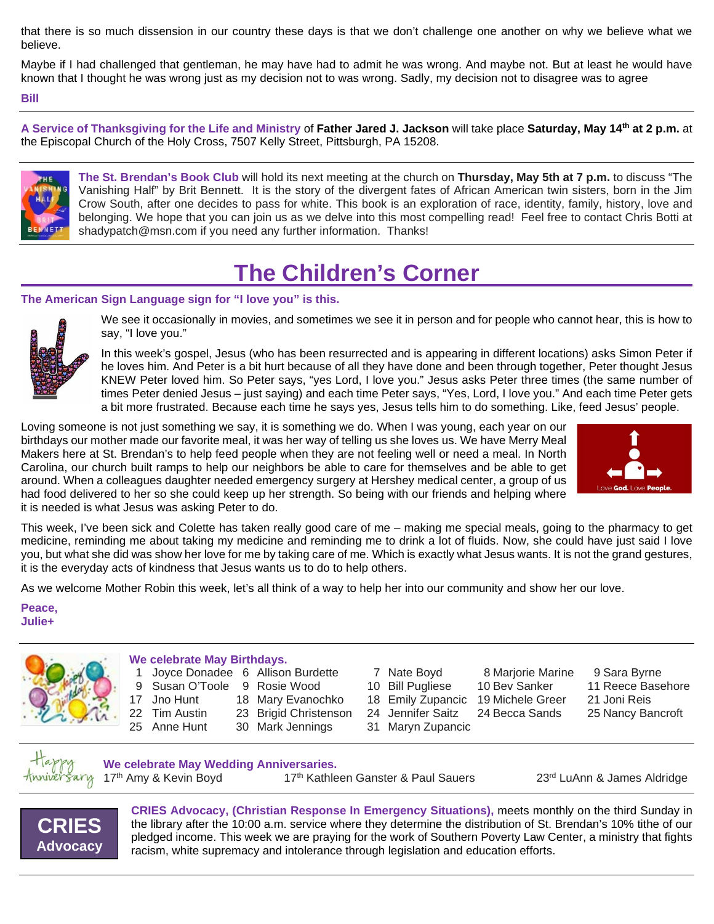that there is so much dissension in our country these days is that we don't challenge one another on why we believe what we believe.

Maybe if I had challenged that gentleman, he may have had to admit he was wrong. And maybe not. But at least he would have known that I thought he was wrong just as my decision not to was wrong. Sadly, my decision not to disagree was to agree

#### **Bill**

**A Service of Thanksgiving for the Life and Ministry** of **Father Jared J. Jackson** will take place **Saturday, May 14th at 2 p.m.** at the Episcopal Church of the Holy Cross, 7507 Kelly Street, Pittsburgh, PA 15208.



**The St. Brendan's Book Club** will hold its next meeting at the church on **Thursday, May 5th at 7 p.m.** to discuss "The Vanishing Half" by Brit Bennett. It is the story of the divergent fates of African American twin sisters, born in the Jim Crow South, after one decides to pass for white. This book is an exploration of race, identity, family, history, love and belonging. We hope that you can join us as we delve into this most compelling read! Feel free to contact Chris Botti at shadypatch@msn.com if you need any further information. Thanks!

# **The Children's Corner**

### **The American Sign Language sign for "I love you" is this.**



We see it occasionally in movies, and sometimes we see it in person and for people who cannot hear, this is how to say, "I love you."

In this week's gospel, Jesus (who has been resurrected and is appearing in different locations) asks Simon Peter if he loves him. And Peter is a bit hurt because of all they have done and been through together, Peter thought Jesus KNEW Peter loved him. So Peter says, "yes Lord, I love you." Jesus asks Peter three times (the same number of times Peter denied Jesus – just saying) and each time Peter says, "Yes, Lord, I love you." And each time Peter gets a bit more frustrated. Because each time he says yes, Jesus tells him to do something. Like, feed Jesus' people.

Loving someone is not just something we say, it is something we do. When I was young, each year on our birthdays our mother made our favorite meal, it was her way of telling us she loves us. We have Merry Meal Makers here at St. Brendan's to help feed people when they are not feeling well or need a meal. In North Carolina, our church built ramps to help our neighbors be able to care for themselves and be able to get around. When a colleagues daughter needed emergency surgery at Hershey medical center, a group of us had food delivered to her so she could keep up her strength. So being with our friends and helping where it is needed is what Jesus was asking Peter to do.



This week, I've been sick and Colette has taken really good care of me – making me special meals, going to the pharmacy to get medicine, reminding me about taking my medicine and reminding me to drink a lot of fluids. Now, she could have just said I love you, but what she did was show her love for me by taking care of me. Which is exactly what Jesus wants. It is not the grand gestures, it is the everyday acts of kindness that Jesus wants us to do to help others.

As we welcome Mother Robin this week, let's all think of a way to help her into our community and show her our love.

**Peace, Julie+**

### **We celebrate May Birthdays.**

- 1 Joyce Donadee 6 Allison Burdette 7 Nate Boyd 8 Marjorie Marine 9 Sara Byrne
- 9 Susan O'Toole 9 Rosie Wood 10 Bill Pugliese 10 Bev Sanker 11 Reece Basehore
- 17 Jno Hunt 18 Mary Evanochko 18 Emily Zupancic 19 Michele Greer 21 Joni Reis
- -
- 
- -
- 
- 
- 
- 25 Anne Hunt 30 Mark Jennings 31 Maryn Zupancic
- - -
- 22 Tim Austin 23 Brigid Christenson 24 Jennifer Saitz 24 Becca Sands 25 Nancy Bancroft



**We celebrate May Wedding Anniversaries.**

17<sup>th</sup> Amy & Kevin Boyd 17<sup>th</sup> Kathleen Ganster & Paul Sauers 23<sup>rd</sup> LuAnn & James Aldridge



**CRIES Advocacy, (Christian Response In Emergency Situations),** meets monthly on the third Sunday in the library after the 10:00 a.m. service where they determine the distribution of St. Brendan's 10% tithe of our pledged income. This week we are praying for the work of Southern Poverty Law Center, a ministry that fights racism, white supremacy and intolerance through legislation and education efforts.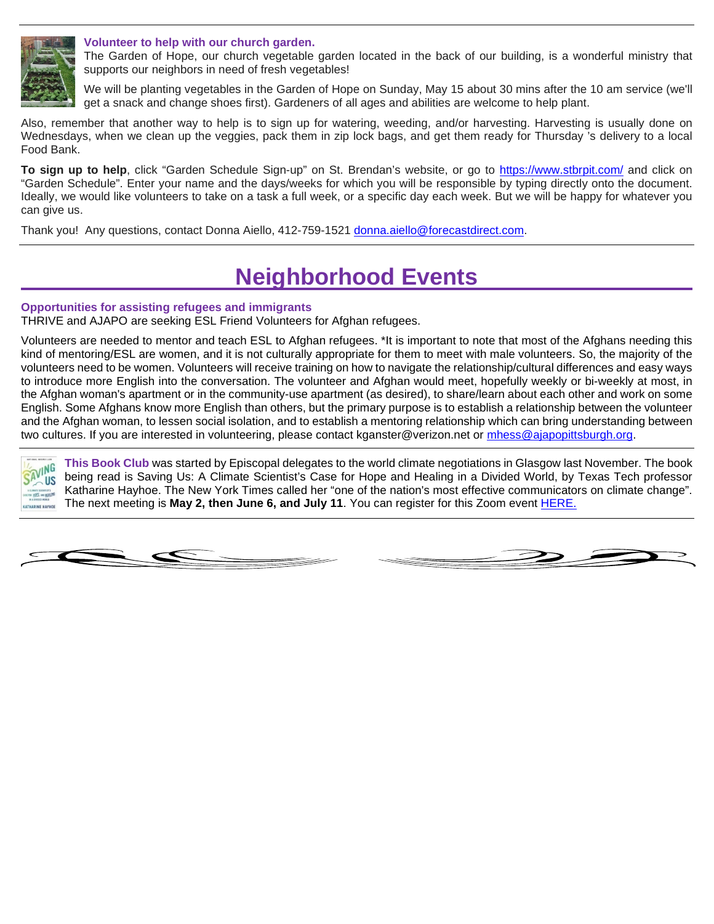

### **Volunteer to help with our church garden.**

The Garden of Hope, our church vegetable garden located in the back of our building, is a wonderful ministry that supports our neighbors in need of fresh vegetables!

We will be planting vegetables in the Garden of Hope on Sunday, May 15 about 30 mins after the 10 am service (we'll get a snack and change shoes first). Gardeners of all ages and abilities are welcome to help plant.

Also, remember that another way to help is to sign up for watering, weeding, and/or harvesting. Harvesting is usually done on Wednesdays, when we clean up the veggies, pack them in zip lock bags, and get them ready for Thursday 's delivery to a local Food Bank.

**To sign up to help**, click "Garden Schedule Sign-up" on St. Brendan's website, or go to<https://www.stbrpit.com/> and click on "Garden Schedule". Enter your name and the days/weeks for which you will be responsible by typing directly onto the document. Ideally, we would like volunteers to take on a task a full week, or a specific day each week. But we will be happy for whatever you can give us.

Thank you! Any questions, contact Donna Aiello, 412-759-1521 [donna.aiello@forecastdirect.com.](mailto:donna.aiello@forecastdirect.com)

# **Neighborhood Events**

### **Opportunities for assisting refugees and immigrants**

THRIVE and AJAPO are seeking ESL Friend Volunteers for Afghan refugees.

Volunteers are needed to mentor and teach ESL to Afghan refugees. \*It is important to note that most of the Afghans needing this kind of mentoring/ESL are women, and it is not culturally appropriate for them to meet with male volunteers. So, the majority of the volunteers need to be women. Volunteers will receive training on how to navigate the relationship/cultural differences and easy ways to introduce more English into the conversation. The volunteer and Afghan would meet, hopefully weekly or bi-weekly at most, in the Afghan woman's apartment or in the community-use apartment (as desired), to share/learn about each other and work on some English. Some Afghans know more English than others, but the primary purpose is to establish a relationship between the volunteer and the Afghan woman, to lessen social isolation, and to establish a mentoring relationship which can bring understanding between two cultures. If you are interested in volunteering, please contact kganster@verizon.net or [mhess@ajapopittsburgh.org.](mailto:mhess@ajapopittsburgh.org)

**This Book Club** was started by Episcopal delegates to the world climate negotiations in Glasgow last November. The book VING being read is Saving Us: A Climate Scientist's Case for Hope and Healing in a Divided World, by Texas Tech professor **JUS** Katharine Hayhoe. The New York Times called her "one of the nation's most effective communicators on climate change". The next meeting is **May 2, then June 6, and July 11**. You can register for this Zoom event [HERE.](https://us02web.zoom.us/meeting/register/tZUpcuyhqjIpGtxpKe7Cx8TOYL2Toz9sNJZR)



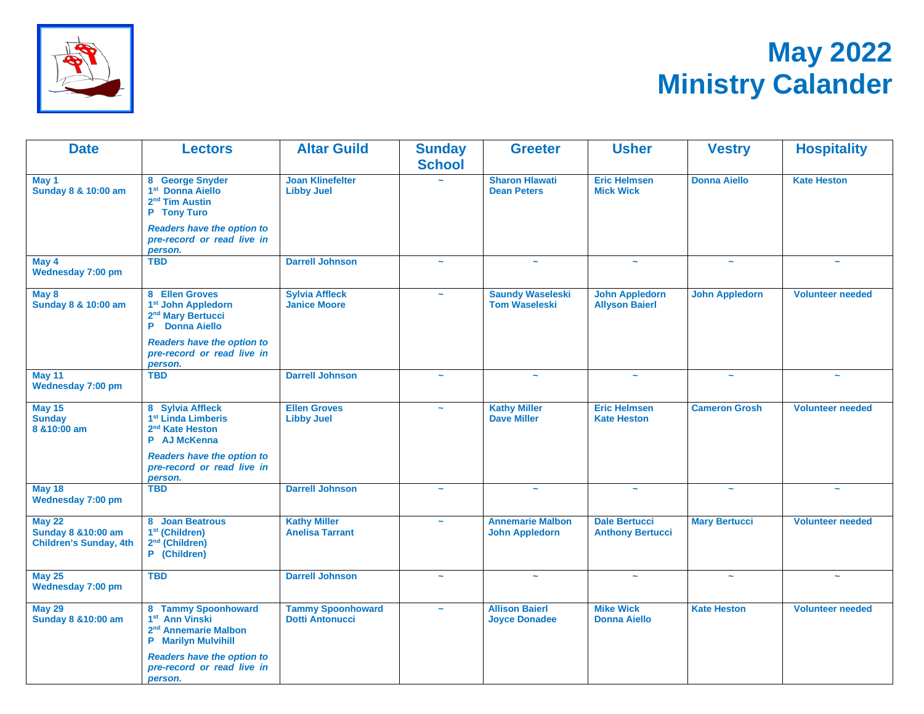

# **May 2022 Ministry Calander**

| <b>Date</b>                                                                      | <b>Lectors</b>                                                                                                                    | <b>Altar Guild</b>                                 | <b>Sunday</b><br><b>School</b> | <b>Greeter</b>                                   | <b>Usher</b>                                    | <b>Vestry</b>         | <b>Hospitality</b>      |
|----------------------------------------------------------------------------------|-----------------------------------------------------------------------------------------------------------------------------------|----------------------------------------------------|--------------------------------|--------------------------------------------------|-------------------------------------------------|-----------------------|-------------------------|
| May 1<br>Sunday 8 & 10:00 am                                                     | 8 George Snyder<br>1 <sup>st</sup> Donna Aiello<br>2 <sup>nd</sup> Tim Austin<br>P Tony Turo<br><b>Readers have the option to</b> | <b>Joan Klinefelter</b><br><b>Libby Juel</b>       |                                | <b>Sharon Hlawati</b><br><b>Dean Peters</b>      | <b>Eric Helmsen</b><br><b>Mick Wick</b>         | <b>Donna Aiello</b>   | <b>Kate Heston</b>      |
|                                                                                  | pre-record or read live in<br>person.                                                                                             |                                                    |                                |                                                  |                                                 |                       |                         |
| May 4<br>Wednesday 7:00 pm                                                       | <b>TBD</b>                                                                                                                        | <b>Darrell Johnson</b>                             | $\sim$                         |                                                  | $\sim$                                          | $\sim$                | $\sim$                  |
| May 8<br>Sunday 8 & 10:00 am                                                     | 8 Ellen Groves<br>1 <sup>st</sup> John Appledorn<br>2 <sup>nd</sup> Mary Bertucci<br>P Donna Aiello                               | <b>Sylvia Affleck</b><br><b>Janice Moore</b>       |                                | <b>Saundy Waseleski</b><br><b>Tom Waseleski</b>  | <b>John Appledorn</b><br><b>Allyson Baierl</b>  | <b>John Appledorn</b> | <b>Volunteer needed</b> |
|                                                                                  | <b>Readers have the option to</b><br>pre-record or read live in<br>person.                                                        |                                                    |                                |                                                  |                                                 |                       |                         |
| <b>May 11</b><br>Wednesday 7:00 pm                                               | <b>TBD</b>                                                                                                                        | <b>Darrell Johnson</b>                             | $\tilde{\phantom{a}}$          | $\tilde{\phantom{a}}$                            | $\tilde{\phantom{a}}$                           | $\tilde{\phantom{a}}$ | $\tilde{\phantom{a}}$   |
| <b>May 15</b><br><b>Sunday</b><br>8 & 10:00 am                                   | 8 Sylvia Affleck<br>1 <sup>st</sup> Linda Limberis<br>2 <sup>nd</sup> Kate Heston<br>P AJ McKenna                                 | <b>Ellen Groves</b><br><b>Libby Juel</b>           | $\sim$                         | <b>Kathy Miller</b><br><b>Dave Miller</b>        | <b>Eric Helmsen</b><br><b>Kate Heston</b>       | <b>Cameron Grosh</b>  | <b>Volunteer needed</b> |
|                                                                                  | <b>Readers have the option to</b><br>pre-record or read live in<br>person.                                                        |                                                    |                                |                                                  |                                                 |                       |                         |
| <b>May 18</b><br><b>Wednesday 7:00 pm</b>                                        | <b>TBD</b>                                                                                                                        | <b>Darrell Johnson</b>                             | $\tilde{\phantom{a}}$          | $\tilde{\phantom{a}}$                            | $\tilde{\phantom{a}}$                           | $\tilde{\phantom{a}}$ | $\tilde{\phantom{a}}$   |
| <b>May 22</b><br><b>Sunday 8 &amp; 10:00 am</b><br><b>Children's Sunday, 4th</b> | 8 Joan Beatrous<br>1 <sup>st</sup> (Children)<br>2 <sup>nd</sup> (Children)<br>P (Children)                                       | <b>Kathy Miller</b><br><b>Anelisa Tarrant</b>      | $\sim$                         | <b>Annemarie Malbon</b><br><b>John Appledorn</b> | <b>Dale Bertucci</b><br><b>Anthony Bertucci</b> | <b>Mary Bertucci</b>  | <b>Volunteer needed</b> |
| <b>May 25</b><br>Wednesday 7:00 pm                                               | <b>TBD</b>                                                                                                                        | <b>Darrell Johnson</b>                             | $\sim$                         | $\tilde{\phantom{a}}$                            | $\tilde{\phantom{a}}$                           | $\tilde{\phantom{a}}$ | $\sim$                  |
| <b>May 29</b><br><b>Sunday 8 &amp; 10:00 am</b>                                  | 8 Tammy Spoonhoward<br>1 <sup>st</sup> Ann Vinski<br>2 <sup>nd</sup> Annemarie Malbon<br><b>P</b> Marilyn Mulvihill               | <b>Tammy Spoonhoward</b><br><b>Dotti Antonucci</b> | $\tilde{\phantom{a}}$          | <b>Allison Baierl</b><br><b>Joyce Donadee</b>    | <b>Mike Wick</b><br><b>Donna Aiello</b>         | <b>Kate Heston</b>    | <b>Volunteer needed</b> |
|                                                                                  | <b>Readers have the option to</b><br>pre-record or read live in<br>person.                                                        |                                                    |                                |                                                  |                                                 |                       |                         |